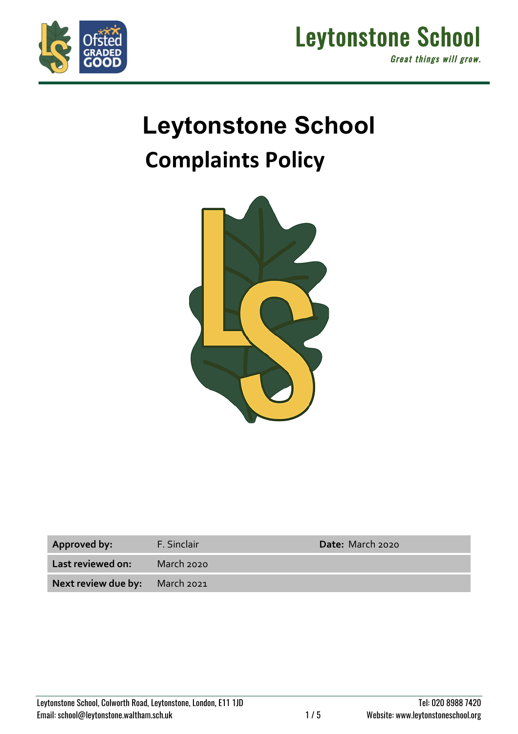



# **Leytonstone School Complaints Policy**



| Approved by:                   | F. Sinclair | Date: March 2020 |
|--------------------------------|-------------|------------------|
| Last reviewed on:              | March 2020  |                  |
| Next review due by: March 2021 |             |                  |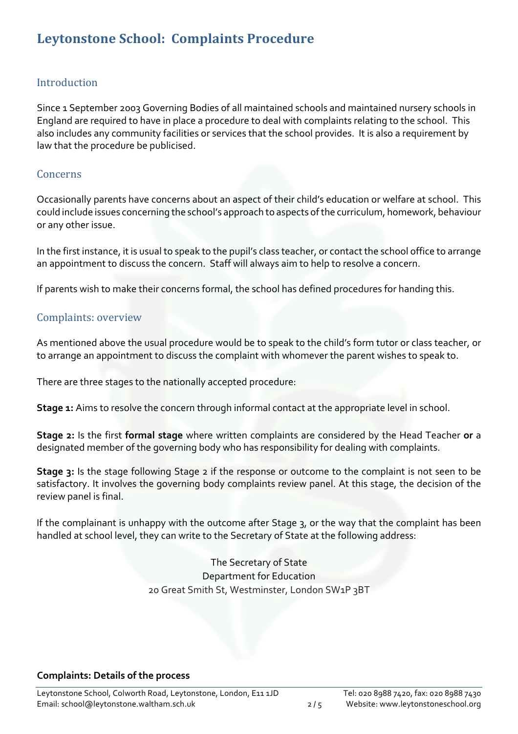# Leytonstone School: Complaints Procedure

#### Introduction

Since 1 September 2003 Governing Bodies of all maintained schools and maintained nursery schools in England are required to have in place a procedure to deal with complaints relating to the school. This also includes any community facilities or services that the school provides. It is also a requirement by law that the procedure be publicised.

#### **Concerns**

Occasionally parents have concerns about an aspect of their child's education or welfare at school. This could include issues concerning the school's approach to aspects of the curriculum, homework, behaviour or any other issue.

In the first instance, it is usual to speak to the pupil's class teacher, or contact the school office to arrange an appointment to discuss the concern. Staff will always aim to help to resolve a concern.

If parents wish to make their concerns formal, the school has defined procedures for handing this.

#### Complaints: overview

As mentioned above the usual procedure would be to speak to the child's form tutor or class teacher, or to arrange an appointment to discuss the complaint with whomever the parent wishes to speak to.

There are three stages to the nationally accepted procedure:

**Stage 1:** Aims to resolve the concern through informal contact at the appropriate level in school.

**Stage 2:** Is the first **formal stage** where written complaints are considered by the Head Teacher **or** a designated member of the governing body who has responsibility for dealing with complaints.

**Stage 3:** Is the stage following Stage 2 if the response or outcome to the complaint is not seen to be satisfactory. It involves the governing body complaints review panel. At this stage, the decision of the review panel is final.

If the complainant is unhappy with the outcome after Stage 3, or the way that the complaint has been handled at school level, they can write to the Secretary of State at the following address:

> The Secretary of State Department for Education 20 Great Smith St, Westminster, London SW1P 3BT

#### **Complaints: Details of the process**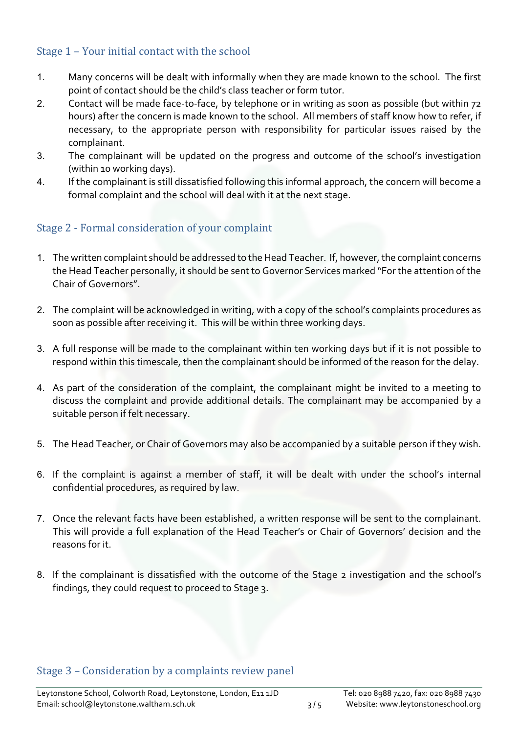## Stage 1 - Your initial contact with the school

- 1. Many concerns will be dealt with informally when they are made known to the school. The first point of contact should be the child's class teacher or form tutor.
- 2. Contact will be made face-to-face, by telephone or in writing as soon as possible (but within 72 hours) after the concern is made known to the school. All members of staff know how to refer, if necessary, to the appropriate person with responsibility for particular issues raised by the complainant.
- 3. The complainant will be updated on the progress and outcome of the school's investigation (within 10 working days).
- 4. If the complainant is still dissatisfied following this informal approach, the concern will become a formal complaint and the school will deal with it at the next stage.

### Stage 2 - Formal consideration of your complaint

- 1. The written complaint should be addressed to the Head Teacher. If, however, the complaint concerns the Head Teacher personally, it should be sent to Governor Services marked "For the attention of the Chair of Governors".
- 2. The complaint will be acknowledged in writing, with a copy of the school's complaints procedures as soon as possible after receiving it. This will be within three working days.
- 3. A full response will be made to the complainant within ten working days but if it is not possible to respond within this timescale, then the complainant should be informed of the reason for the delay.
- 4. As part of the consideration of the complaint, the complainant might be invited to a meeting to discuss the complaint and provide additional details. The complainant may be accompanied by a suitable person if felt necessary.
- 5. The Head Teacher, or Chair of Governors may also be accompanied by a suitable person if they wish.
- 6. If the complaint is against a member of staff, it will be dealt with under the school's internal confidential procedures, as required by law.
- 7. Once the relevant facts have been established, a written response will be sent to the complainant. This will provide a full explanation of the Head Teacher's or Chair of Governors' decision and the reasons for it.
- 8. If the complainant is dissatisfied with the outcome of the Stage 2 investigation and the school's findings, they could request to proceed to Stage 3.

#### Stage 3 - Consideration by a complaints review panel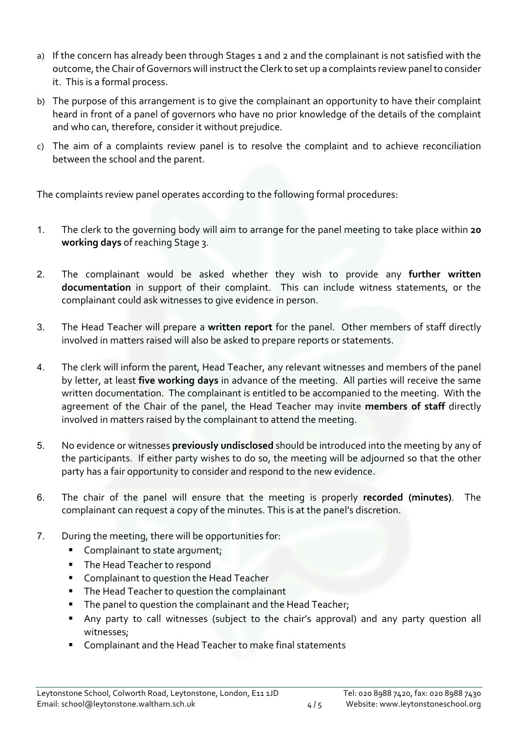- a) If the concern has already been through Stages 1 and 2 and the complainant is not satisfied with the outcome, the Chair of Governors will instruct the Clerk to set up a complaints review panel to consider it. This is a formal process.
- b) The purpose of this arrangement is to give the complainant an opportunity to have their complaint heard in front of a panel of governors who have no prior knowledge of the details of the complaint and who can, therefore, consider it without prejudice.
- c) The aim of a complaints review panel is to resolve the complaint and to achieve reconciliation between the school and the parent.

The complaints review panel operates according to the following formal procedures:

- 1. The clerk to the governing body will aim to arrange for the panel meeting to take place within **20 working days** of reaching Stage 3.
- 2. The complainant would be asked whether they wish to provide any **further written documentation** in support of their complaint. This can include witness statements, or the complainant could ask witnesses to give evidence in person.
- 3. The Head Teacher will prepare a **written report** for the panel. Other members of staff directly involved in matters raised will also be asked to prepare reports or statements.
- 4. The clerk will inform the parent, Head Teacher, any relevant witnesses and members of the panel by letter, at least **five working days** in advance of the meeting. All parties will receive the same written documentation. The complainant is entitled to be accompanied to the meeting. With the agreement of the Chair of the panel, the Head Teacher may invite **members of staff** directly involved in matters raised by the complainant to attend the meeting.
- 5. No evidence or witnesses **previously undisclosed** should be introduced into the meeting by any of the participants. If either party wishes to do so, the meeting will be adjourned so that the other party has a fair opportunity to consider and respond to the new evidence.
- 6. The chair of the panel will ensure that the meeting is properly **recorded (minutes)**. The complainant can request a copy of the minutes. This is at the panel's discretion.
- 7. During the meeting, there will be opportunities for:
	- Complainant to state argument:
	- **The Head Teacher to respond**
	- Complainant to question the Head Teacher
	- The Head Teacher to question the complainant
	- The panel to question the complainant and the Head Teacher;
	- § Any party to call witnesses (subject to the chair's approval) and any party question all witnesses;
	- Complainant and the Head Teacher to make final statements